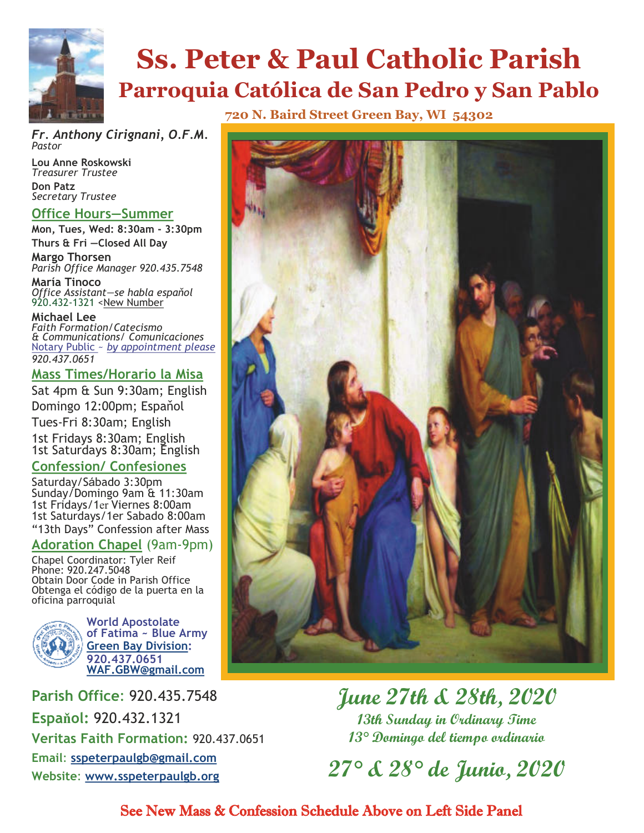

# **Ss. Peter & Paul Catholic Parish Parroquia Católica de San Pedro y San Pablo**

*Fr. Anthony Cirignani, O.F.M. Pastor*

**Lou Anne Roskowski** *Treasurer Trustee*  **Don Patz** *Secretary Trustee* 

#### **Office Hours—Summer**

**Mon, Tues, Wed: 8:30am - 3:30pm Thurs & Fri —Closed All Day**

**Margo Thorsen** *Parish Office Manager 920.435.7548*

**María Tinoco** *Office Assistant—se habla espaňol* 920.432-1321 <New Number

**Michael Lee** *Faith Formation/Catecismo & Communications/ Comunicaciones* Notary Public ~ *by appointment please 920.437.0651* 

#### **Mass Times/Horario la Misa**

Sat 4pm & Sun 9:30am; English Domingo 12:00pm; Espaňol Tues-Fri 8:30am; English 1st Fridays 8:30am; English 1st Saturdays 8:30am; English **Confession/ Confesiones**

Saturday/Sábado 3:30pm Sunday/Domingo 9am & 11:30am 1st Fridays/1er Viernes 8:00am 1st Saturdays/1er Sabado 8:00am "13th Days" Confession after Mass

#### **Adoration Chapel** (9am-9pm)

Chapel Coordinator: Tyler Reif Phone: 920.247.5048 Obtain Door Code in Parish Office Obtenga el código de la puerta en la oficina parroquial



**World Apostolate of Fatima ~ Blue Army Green Bay Division: 920.437.0651 WAF.GBW@gmail.com**

**Parish Office**: 920.435.7548 **Espaňol:** 920.432.1321 **Veritas Faith Formation:** 920.437.0651 **Email**: **sspeterpaulgb@gmail.com Website**: **www.sspeterpaulgb.org**

**720 N. Baird Street Green Bay, WI 54302**



**June 27th & 28th, 2020 13th Sunday in Ordinary Time 13° Domingo del tiempo ordinario** 

**27° & 28° de Junio, 2020** 

See New Mass & Confession Schedule Above on Left Side Panel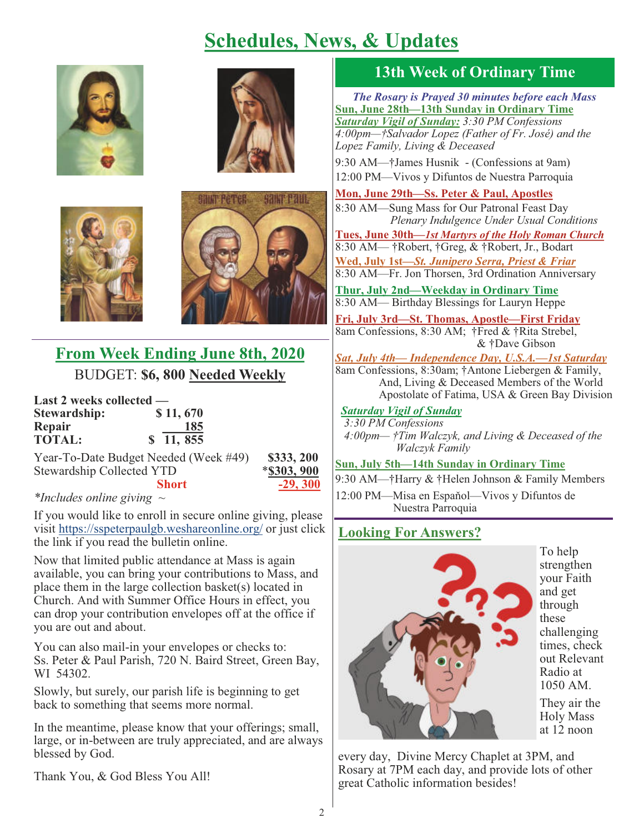### **Schedules, News, & Updates**









#### **From Week Ending June 8th, 2020**  BUDGET: **\$6, 800 Needed Weekly**

| Last 2 weeks collected — |                                       |
|--------------------------|---------------------------------------|
| Stewardship:             | \$11,670                              |
| Repair                   | 185                                   |
| <b>TOTAL:</b>            | \$11, 855                             |
|                          | Vear To Date Budget Needed (Week #40) |

Year-To-Date Budget Needed (Week #49) **\$333, 200** Stewardship Collected YTD **Short -29, 300** 

| \$303.900 |  |
|-----------|--|
|           |  |

#### *\*Includes online giving ~*

If you would like to enroll in secure online giving, please visit https://sspeterpaulgb.weshareonline.org/ or just click the link if you read the bulletin online.

Now that limited public attendance at Mass is again available, you can bring your contributions to Mass, and place them in the large collection basket(s) located in Church. And with Summer Office Hours in effect, you can drop your contribution envelopes off at the office if you are out and about.

You can also mail-in your envelopes or checks to: Ss. Peter & Paul Parish, 720 N. Baird Street, Green Bay, WI 54302.

Slowly, but surely, our parish life is beginning to get back to something that seems more normal.

In the meantime, please know that your offerings; small, large, or in-between are truly appreciated, and are always blessed by God.

Thank You, & God Bless You All!

#### **13th Week of Ordinary Time**

*The Rosary is Prayed 30 minutes before each Mass* **Sun, June 28th—13th Sunday in Ordinary Time**  *Saturday Vigil of Sunday: 3:30 PM Confessions 4:00pm—†Salvador Lopez (Father of Fr. José) and the Lopez Family, Living & Deceased*

9:30 AM—†James Husnik - (Confessions at 9am) 12:00 PM—Vivos y Difuntos de Nuestra Parroquia

**Mon, June 29th—Ss. Peter & Paul, Apostles** 8:30 AM—Sung Mass for Our Patronal Feast Day *Plenary Indulgence Under Usual Conditions*

**Tues, June 30th—***1st Martyrs of the Holy Roman Church* 8:30 AM— †Robert, †Greg, & †Robert, Jr., Bodart **Wed, July 1st—***St. Junipero Serra, Priest & Friar* 8:30 AM—Fr. Jon Thorsen, 3rd Ordination Anniversary

**Thur, July 2nd—Weekday in Ordinary Time** 8:30 AM— Birthday Blessings for Lauryn Heppe

**Fri, July 3rd—St. Thomas, Apostle—First Friday** 8am Confessions, 8:30 AM; †Fred & †Rita Strebel, & †Dave Gibson

*Sat, July 4th— Independence Day, U.S.A.—1st Saturday* 8am Confessions, 8:30am; †Antone Liebergen & Family, And, Living & Deceased Members of the World Apostolate of Fatima, USA & Green Bay Division

#### *Saturday Vigil of Sunday*

 *3:30 PM Confessions 4:00pm— †Tim Walczyk, and Living & Deceased of the Walczyk Family*

**Sun, July 5th—14th Sunday in Ordinary Time** 

9:30 AM—†Harry & †Helen Johnson & Family Members 12:00 PM—Misa en Espaňol—Vivos y Difuntos de Nuestra Parroquia

#### **Looking For Answers?**



every day, Divine Mercy Chaplet at 3PM, and Rosary at 7PM each day, and provide lots of other great Catholic information besides!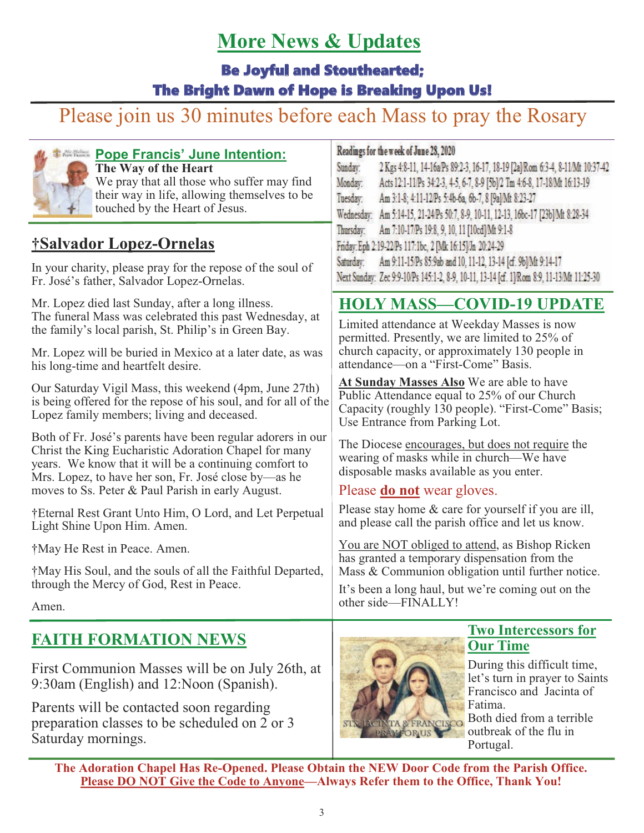### **More News & Updates**

Be Joyful and Stouthearted;

#### The Bright Dawn of Hope is Breaking Upon Us!

## Please join us 30 minutes before each Mass to pray the Rosary



#### **Pope Francis' June Intention: The Way of the Heart** We pray that all those who suffer may find their way in life, allowing themselves to be touched by the Heart of Jesus.

### **†Salvador Lopez-Ornelas**

In your charity, please pray for the repose of the soul of Fr. José's father, Salvador Lopez-Ornelas.

Mr. Lopez died last Sunday, after a long illness. The funeral Mass was celebrated this past Wednesday, at the family's local parish, St. Philip's in Green Bay.

Mr. Lopez will be buried in Mexico at a later date, as was his long-time and heartfelt desire.

Our Saturday Vigil Mass, this weekend (4pm, June 27th) is being offered for the repose of his soul, and for all of the Lopez family members; living and deceased.

Both of Fr. José's parents have been regular adorers in our Christ the King Eucharistic Adoration Chapel for many years. We know that it will be a continuing comfort to Mrs. Lopez, to have her son, Fr. José close by—as he moves to Ss. Peter & Paul Parish in early August.

†Eternal Rest Grant Unto Him, O Lord, and Let Perpetual Light Shine Upon Him. Amen.

†May He Rest in Peace. Amen.

†May His Soul, and the souls of all the Faithful Departed, through the Mercy of God, Rest in Peace.

Amen.

### **FAITH FORMATION NEWS**

First Communion Masses will be on July 26th, at 9:30am (English) and 12:Noon (Spanish).

Parents will be contacted soon regarding preparation classes to be scheduled on 2 or 3 Saturday mornings.

#### Readings for the week of June 28, 2020

| Sunday:   | 2 Kgs 48-11, 14-16aPs 89:2-3, 16-17, 18-19 [2a] Rom 6:3-4, 8-11 Mt 10:37-42              |
|-----------|------------------------------------------------------------------------------------------|
| Monday:   | Acts 12:1-11/Ps 34:2-3, 4-5, 6-7, 8-9 [5b]/2 Tm 4:6-8, 17-18/Mt 16:13-19                 |
| Tuesday:  | Am 3:1-8; 4:11-12/Ps 5:4b-6a, 6b-7, 8 [9a] Mt 8:23-27                                    |
|           | Wednesday: Am 5:14-15, 21-24/Ps 50:7, 8-9, 10-11, 12-13, 16bc-17 [23b] Mt 8:28-34        |
| Thursday. | Am 7:10-17/Ps 19:8, 9, 10, 11 [10cd]/Mt 9:1-8                                            |
|           | Friday: Eph 2:19-22/Ps 117:1bc, 2 [Mk 16:15]/Jn 20:24-29                                 |
|           | Saturday: Am 9:11-15/Ps 85:9ab and 10, 11-12, 13-14 [cf. 9b] Mt 9:14-17                  |
|           | Next Sunday: Zec 9:9-10/Ps 145:1-2, 8-9, 10-11, 13-14 [cf. 1]/Rom 8:9, 11-13/Mt 11:25-30 |

#### **HOLY MASS—COVID-19 UPDATE**

Limited attendance at Weekday Masses is now permitted. Presently, we are limited to 25% of church capacity, or approximately 130 people in attendance—on a "First-Come" Basis.

**At Sunday Masses Also** We are able to have Public Attendance equal to 25% of our Church Capacity (roughly 130 people). "First-Come" Basis; Use Entrance from Parking Lot.

The Diocese encourages, but does not require the wearing of masks while in church—We have disposable masks available as you enter.

#### Please **do not** wear gloves.

Please stay home & care for yourself if you are ill, and please call the parish office and let us know.

You are NOT obliged to attend, as Bishop Ricken has granted a temporary dispensation from the Mass & Communion obligation until further notice.

It's been a long haul, but we're coming out on the other side—FINALLY!



#### **Two Intercessors for Our Time**

During this difficult time, let's turn in prayer to Saints Francisco and Jacinta of Fatima.

Both died from a terrible outbreak of the flu in Portugal.

**The Adoration Chapel Has Re-Opened. Please Obtain the NEW Door Code from the Parish Office. Please DO NOT Give the Code to Anyone—Always Refer them to the Office, Thank You!**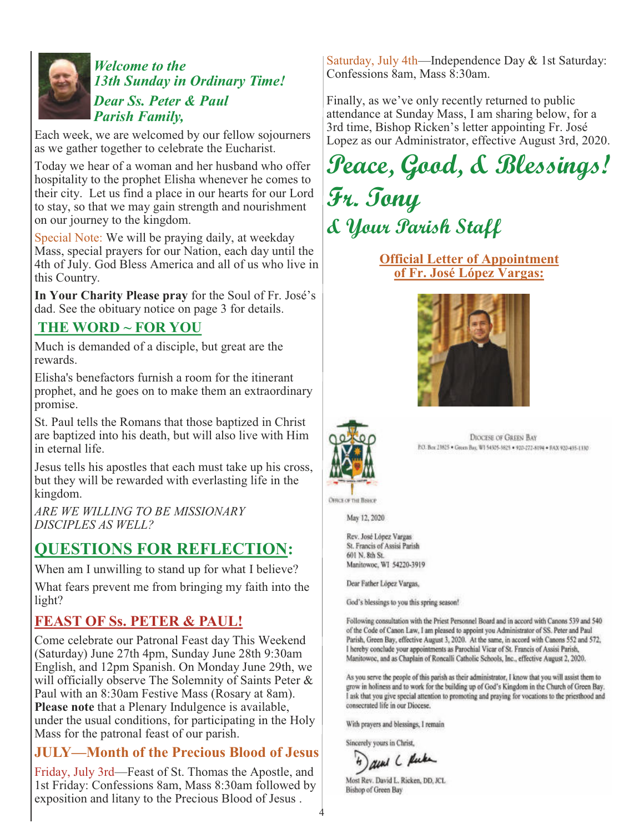

#### *Welcome to the 13th Sunday in Ordinary Time! Dear Ss. Peter & Paul Parish Family,*

Each week, we are welcomed by our fellow sojourners as we gather together to celebrate the Eucharist.

Today we hear of a woman and her husband who offer hospitality to the prophet Elisha whenever he comes to their city. Let us find a place in our hearts for our Lord to stay, so that we may gain strength and nourishment on our journey to the kingdom.

Special Note: We will be praying daily, at weekday Mass, special prayers for our Nation, each day until the 4th of July. God Bless America and all of us who live in this Country.

**In Your Charity Please pray** for the Soul of Fr. José's dad. See the obituary notice on page 3 for details.

#### **THE WORD ~ FOR YOU**

Much is demanded of a disciple, but great are the rewards.

Elisha's benefactors furnish a room for the itinerant prophet, and he goes on to make them an extraordinary promise.

St. Paul tells the Romans that those baptized in Christ are baptized into his death, but will also live with Him in eternal life.

Jesus tells his apostles that each must take up his cross, but they will be rewarded with everlasting life in the kingdom.

*ARE WE WILLING TO BE MISSIONARY DISCIPLES AS WELL?*

#### **QUESTIONS FOR REFLECTION:**

When am I unwilling to stand up for what I believe? What fears prevent me from bringing my faith into the light?

#### **FEAST OF Ss. PETER & PAUL!**

Come celebrate our Patronal Feast day This Weekend (Saturday) June 27th 4pm, Sunday June 28th 9:30am English, and 12pm Spanish. On Monday June 29th, we will officially observe The Solemnity of Saints Peter & Paul with an 8:30am Festive Mass (Rosary at 8am). **Please note** that a Plenary Indulgence is available, under the usual conditions, for participating in the Holy Mass for the patronal feast of our parish.

#### **JULY—Month of the Precious Blood of Jesus**

Friday, July 3rd—Feast of St. Thomas the Apostle, and 1st Friday: Confessions 8am, Mass 8:30am followed by exposition and litany to the Precious Blood of Jesus .

Saturday, July 4th—Independence Day & 1st Saturday: Confessions 8am, Mass 8:30am.

Finally, as we've only recently returned to public attendance at Sunday Mass, I am sharing below, for a 3rd time, Bishop Ricken's letter appointing Fr. José Lopez as our Administrator, effective August 3rd, 2020.

# **Peace, Good, & Blessings! Fr. Tony & Your Parish Staff**

**Official Letter of Appointment of Fr. José López Vargas:**





**DIOCESE OF GREEN BAY** P.O. Box 23825 . Green Buy, '8/1 54325-3825 . 920-272-8194 . PAX 920-435-1130

May 12, 2020

**OFFICE OF THE BISHOP** 

Rev. José López Vargas St. Francis of Assisi Parish 601 N. 8th St. Manitowoc, WI 54220-3919

Dear Father Löpez Vargas,

God's blessings to you this spring season!

Following consultation with the Priest Personnel Board and in accord with Canons 539 and 540 of the Code of Canon Law, I am pleased to appoint you Administrator of SS. Peter and Paul Parish, Green Bay, effective August 3, 2020. At the same, in accord with Canons 552 and 572, I hereby conclude your appointments as Parochial Vicar of St. Francis of Assisi Parish, Manitowoc, and as Chaplain of Roncalli Catholic Schools, Inc., effective August 2, 2020.

As you serve the people of this parish as their administrator, I know that you will assist them to grow in holiness and to work for the building up of God's Kingdom in the Church of Green Bay. I ask that you give special attention to promoting and praying for vocations to the priesthood and consecrated life in our Diocese.

With prayers and blessings, I remain

Sincerely yours in Christ,

4

aund C Rube

Most Rev. David L. Ricken, DD, JCL Bishop of Green Bay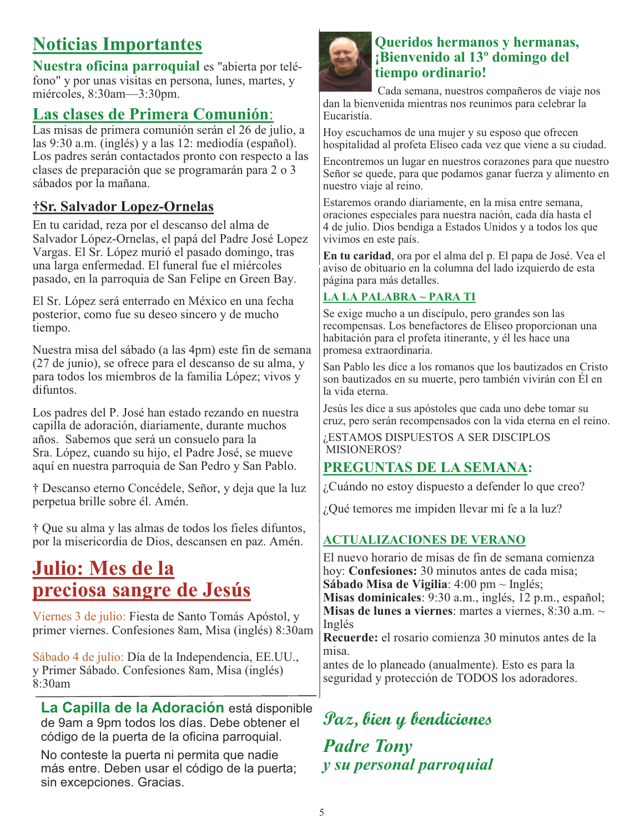### **Noticias Importantes**

**Nuestra oficina parroquial** es "abierta por teléfono" y por unas visitas en persona, lunes, martes, y miércoles, 8:30am—3:30pm.

#### **Las clases de Primera Comunión**:

Las misas de primera comunión serán el 26 de julio, a las 9:30 a.m. (inglés) y a las 12: mediodía (español). Los padres serán contactados pronto con respecto a las clases de preparación que se programarán para 2 o 3 sábados por la mañana.

#### **†Sr. Salvador Lopez-Ornelas**

En tu caridad, reza por el descanso del alma de Salvador López-Ornelas, el papá del Padre José Lopez Vargas. El Sr. López murió el pasado domingo, tras una larga enfermedad. El funeral fue el miércoles pasado, en la parroquia de San Felipe en Green Bay.

El Sr. López será enterrado en México en una fecha posterior, como fue su deseo sincero y de mucho tiempo.

Nuestra misa del sábado (a las 4pm) este fin de semana (27 de junio), se ofrece para el descanso de su alma, y para todos los miembros de la familia López; vivos y difuntos.

Los padres del P. José han estado rezando en nuestra capilla de adoración, diariamente, durante muchos años. Sabemos que será un consuelo para la Sra. López, cuando su hijo, el Padre José, se mueve aquí en nuestra parroquia de San Pedro y San Pablo.

† Descanso eterno Concédele, Señor, y deja que la luz perpetua brille sobre él. Amén.

† Que su alma y las almas de todos los fieles difuntos, por la misericordia de Dios, descansen en paz. Amén.

### **Julio: Mes de la preciosa sangre de Jesús**

Viernes 3 de julio: Fiesta de Santo Tomás Apóstol, y primer viernes. Confesiones 8am, Misa (inglés) 8:30am

Sábado 4 de julio: Día de la Independencia, EE.UU., y Primer Sábado. Confesiones 8am, Misa (inglés) 8:30am

**La Capilla de la Adoración** está disponible de 9am a 9pm todos los días. Debe obtener el código de la puerta de la oficina parroquial.

No conteste la puerta ni permita que nadie más entre. Deben usar el código de la puerta; sin excepciones. Gracias.



#### **Queridos hermanos y hermanas, ¡Bienvenido al 13º domingo del tiempo ordinario!**

 Cada semana, nuestros compañeros de viaje nos dan la bienvenida mientras nos reunimos para celebrar la Eucaristía.

Hoy escuchamos de una mujer y su esposo que ofrecen hospitalidad al profeta Eliseo cada vez que viene a su ciudad.

Encontremos un lugar en nuestros corazones para que nuestro Señor se quede, para que podamos ganar fuerza y alimento en nuestro viaje al reino.

Estaremos orando diariamente, en la misa entre semana, oraciones especiales para nuestra nación, cada día hasta el 4 de julio. Dios bendiga a Estados Unidos y a todos los que vivimos en este país.

**En tu caridad**, ora por el alma del p. El papa de José. Vea el aviso de obituario en la columna del lado izquierdo de esta página para más detalles.

#### **LA LA PALABRA ~ PARA TI**

Se exige mucho a un discípulo, pero grandes son las recompensas. Los benefactores de Eliseo proporcionan una habitación para el profeta itinerante, y él les hace una promesa extraordinaria.

San Pablo les dice a los romanos que los bautizados en Cristo son bautizados en su muerte, pero también vivirán con Él en la vida eterna.

Jesús les dice a sus apóstoles que cada uno debe tomar su cruz, pero serán recompensados con la vida eterna en el reino.

¿ESTAMOS DISPUESTOS A SER DISCIPLOS MISIONEROS?

#### **PREGUNTAS DE LA SEMANA:**

¿Cuándo no estoy dispuesto a defender lo que creo?

¿Qué temores me impiden llevar mi fe a la luz?

#### **ACTUALIZACIONES DE VERANO**

El nuevo horario de misas de fin de semana comienza hoy: **Confesiones:** 30 minutos antes de cada misa; **Sábado Misa de Vigilia**: 4:00 pm ~ Inglés; **Misas dominicales**: 9:30 a.m., inglés, 12 p.m., español; **Misas de lunes a viernes**: martes a viernes, 8:30 a.m. ~ Inglés

**Recuerde:** el rosario comienza 30 minutos antes de la misa.

antes de lo planeado (anualmente). Esto es para la seguridad y protección de TODOS los adoradores.

### **Paz, bien y bendiciones**

*Padre Tony y su personal parroquial*